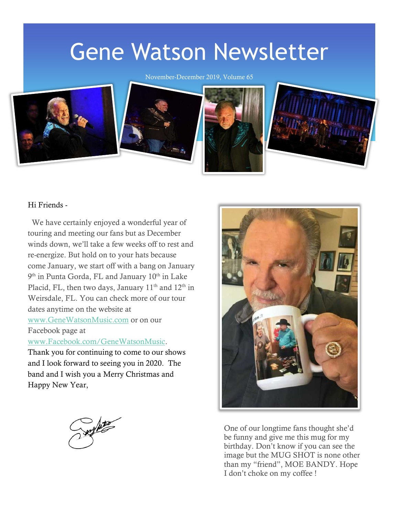# Gene Watson Newsletter

November-December 2019, Volume 65



#### Hi Friends -

 We have certainly enjoyed a wonderful year of touring and meeting our fans but as December winds down, we'll take a few weeks off to rest and re-energize. But hold on to your hats because come January, we start off with a bang on January 9<sup>th</sup> in Punta Gorda, FL and January 10<sup>th</sup> in Lake Placid, FL, then two days, January  $11<sup>th</sup>$  and  $12<sup>th</sup>$  in Weirsdale, FL. You can check more of our tour dates anytime on the website at [www.GeneWatsonMusic.com](http://www.genewatsonmusic.com/) or on our Facebook page at

[www.Facebook.com/GeneWatsonMusic.](http://www.facebook.com/GeneWatsonMusic)

Thank you for continuing to come to our shows and I look forward to seeing you in 2020. The band and I wish you a Merry Christmas and Happy New Year,



One of our longtime fans thought she'd be funny and give me this mug for my birthday. Don't know if you can see the image but the MUG SHOT is none other than my "friend", MOE BANDY. Hope I don't choke on my coffee !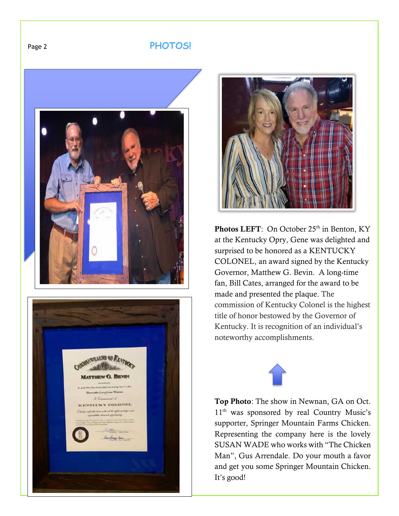## Page 2 **PHOTOS!**







Photos LEFT: On October 25<sup>th</sup> in Benton, KY at the Kentucky Opry, Gene was delighted and surprised to be honored as a KENTUCKY COLONEL, an award signed by the Kentucky Governor, Matthew G. Bevin. A long-time fan, Bill Cates, arranged for the award to be made and presented the plaque. The commission of Kentucky Colonel is the highest title of honor bestowed by the Governor of Kentucky. It is recognition of an individual's noteworthy accomplishments.



Top Photo: The show in Newnan, GA on Oct. 11<sup>th</sup> was sponsored by real Country Music's supporter, Springer Mountain Farms Chicken. Representing the company here is the lovely SUSAN WADE who works with "The Chicken Man", Gus Arrendale. Do your mouth a favor and get you some Springer Mountain Chicken. It's good!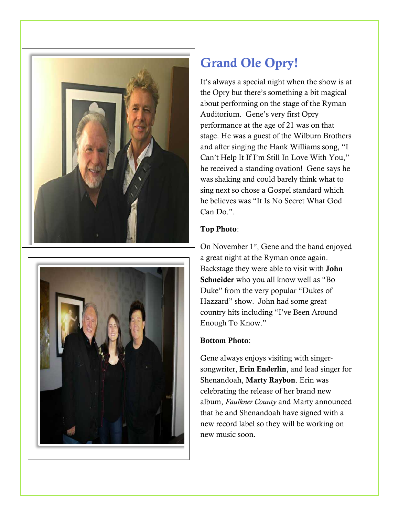



# Grand Ole Opry!

It's always a special night when the show is at the Opry but there's something a bit magical about performing on the stage of the Ryman Auditorium. Gene's very first Opry performance at the age of 21 was on that stage. He was a guest of the Wilburn Brothers and after singing the Hank Williams song, "I Can't Help It If I'm Still In Love With You," he received a standing ovation! Gene says he was shaking and could barely think what to sing next so chose a Gospel standard which he believes was "It Is No Secret What God Can Do.".

#### Top Photo:

On November  $1<sup>st</sup>$ , Gene and the band enjoyed a great night at the Ryman once again. Backstage they were able to visit with John Schneider who you all know well as "Bo Duke" from the very popular "Dukes of Hazzard" show. John had some great country hits including "I've Been Around Enough To Know."

## Bottom Photo:

Gene always enjoys visiting with singersongwriter, Erin Enderlin, and lead singer for Shenandoah, Marty Raybon. Erin was celebrating the release of her brand new album, *Faulkner County* and Marty announced that he and Shenandoah have signed with a new record label so they will be working on new music soon.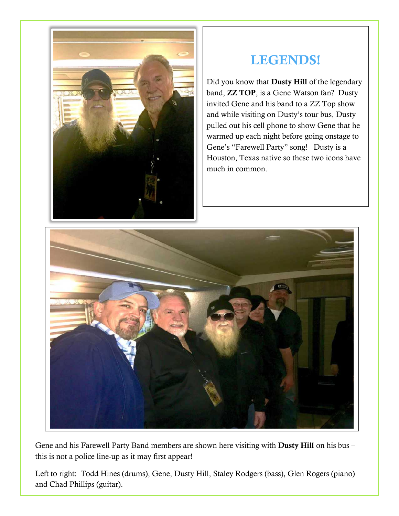

## LEGENDS!

Did you know that Dusty Hill of the legendary band, ZZ TOP, is a Gene Watson fan? Dusty invited Gene and his band to a ZZ Top show and while visiting on Dusty's tour bus, Dusty pulled out his cell phone to show Gene that he warmed up each night before going onstage to Gene's "Farewell Party" song! Dusty is a Houston, Texas native so these two icons have much in common.



Gene and his Farewell Party Band members are shown here visiting with Dusty Hill on his bus – this is not a police line-up as it may first appear!

Left to right: Todd Hines (drums), Gene, Dusty Hill, Staley Rodgers (bass), Glen Rogers (piano) and Chad Phillips (guitar).